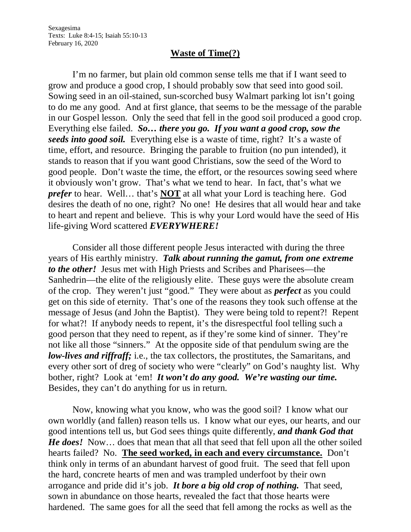## **Waste of Time(?)**

I'm no farmer, but plain old common sense tells me that if I want seed to grow and produce a good crop, I should probably sow that seed into good soil. Sowing seed in an oil-stained, sun-scorched busy Walmart parking lot isn't going to do me any good. And at first glance, that seems to be the message of the parable in our Gospel lesson. Only the seed that fell in the good soil produced a good crop. Everything else failed. *So… there you go. If you want a good crop, sow the seeds into good soil.* Everything else is a waste of time, right? It's a waste of time, effort, and resource. Bringing the parable to fruition (no pun intended), it stands to reason that if you want good Christians, sow the seed of the Word to good people. Don't waste the time, the effort, or the resources sowing seed where it obviously won't grow. That's what we tend to hear. In fact, that's what we *prefer* to hear. Well… that's **NOT** at all what your Lord is teaching here. God desires the death of no one, right? No one! He desires that all would hear and take to heart and repent and believe. This is why your Lord would have the seed of His life-giving Word scattered *EVERYWHERE!*

Consider all those different people Jesus interacted with during the three years of His earthly ministry. *Talk about running the gamut, from one extreme to the other!* Jesus met with High Priests and Scribes and Pharisees—the Sanhedrin—the elite of the religiously elite. These guys were the absolute cream of the crop. They weren't just "good." They were about as *perfect* as you could get on this side of eternity. That's one of the reasons they took such offense at the message of Jesus (and John the Baptist). They were being told to repent?! Repent for what?! If anybody needs to repent, it's the disrespectful fool telling such a good person that they need to repent, as if they're some kind of sinner. They're not like all those "sinners." At the opposite side of that pendulum swing are the *low-lives and riffraff;* i.e., the tax collectors, the prostitutes, the Samaritans, and every other sort of dreg of society who were "clearly" on God's naughty list. Why bother, right? Look at 'em! *It won't do any good. We're wasting our time.* Besides, they can't do anything for us in return.

Now, knowing what you know, who was the good soil? I know what our own worldly (and fallen) reason tells us. I know what our eyes, our hearts, and our good intentions tell us, but God sees things quite differently, *and thank God that He does!* Now… does that mean that all that seed that fell upon all the other soiled hearts failed? No. **The seed worked, in each and every circumstance.** Don't think only in terms of an abundant harvest of good fruit. The seed that fell upon the hard, concrete hearts of men and was trampled underfoot by their own arrogance and pride did it's job. *It bore a big old crop of nothing.* That seed, sown in abundance on those hearts, revealed the fact that those hearts were hardened. The same goes for all the seed that fell among the rocks as well as the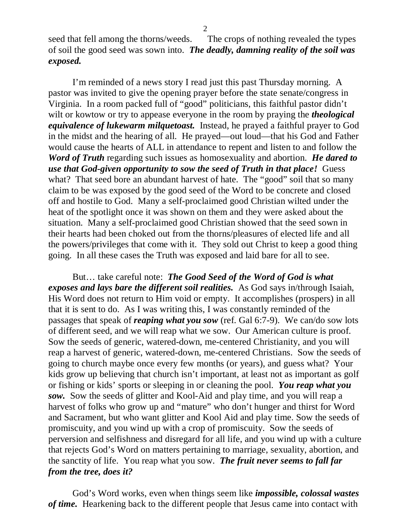seed that fell among the thorns/weeds. The crops of nothing revealed the types of soil the good seed was sown into. *The deadly, damning reality of the soil was exposed.*

I'm reminded of a news story I read just this past Thursday morning. A pastor was invited to give the opening prayer before the state senate/congress in Virginia. In a room packed full of "good" politicians, this faithful pastor didn't wilt or kowtow or try to appease everyone in the room by praying the *theological equivalence of lukewarm milquetoast.* Instead, he prayed a faithful prayer to God in the midst and the hearing of all. He prayed—out loud—that his God and Father would cause the hearts of ALL in attendance to repent and listen to and follow the *Word of Truth* regarding such issues as homosexuality and abortion. *He dared to use that God-given opportunity to sow the seed of Truth in that place!* Guess what? That seed bore an abundant harvest of hate. The "good" soil that so many claim to be was exposed by the good seed of the Word to be concrete and closed off and hostile to God. Many a self-proclaimed good Christian wilted under the heat of the spotlight once it was shown on them and they were asked about the situation. Many a self-proclaimed good Christian showed that the seed sown in their hearts had been choked out from the thorns/pleasures of elected life and all the powers/privileges that come with it. They sold out Christ to keep a good thing going. In all these cases the Truth was exposed and laid bare for all to see.

But… take careful note: *The Good Seed of the Word of God is what exposes and lays bare the different soil realities.* As God says in/through Isaiah, His Word does not return to Him void or empty. It accomplishes (prospers) in all that it is sent to do. As I was writing this, I was constantly reminded of the passages that speak of *reaping what you sow* (ref. Gal 6:7-9). We can/do sow lots of different seed, and we will reap what we sow. Our American culture is proof. Sow the seeds of generic, watered-down, me-centered Christianity, and you will reap a harvest of generic, watered-down, me-centered Christians. Sow the seeds of going to church maybe once every few months (or years), and guess what? Your kids grow up believing that church isn't important, at least not as important as golf or fishing or kids' sports or sleeping in or cleaning the pool. *You reap what you sow.* Sow the seeds of glitter and Kool-Aid and play time, and you will reap a harvest of folks who grow up and "mature" who don't hunger and thirst for Word and Sacrament, but who want glitter and Kool Aid and play time. Sow the seeds of promiscuity, and you wind up with a crop of promiscuity. Sow the seeds of perversion and selfishness and disregard for all life, and you wind up with a culture that rejects God's Word on matters pertaining to marriage, sexuality, abortion, and the sanctity of life. You reap what you sow. *The fruit never seems to fall far from the tree, does it?*

God's Word works, even when things seem like *impossible, colossal wastes of time.* Hearkening back to the different people that Jesus came into contact with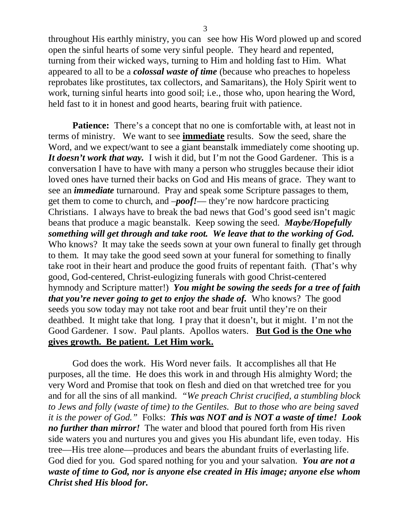throughout His earthly ministry, you can see how His Word plowed up and scored open the sinful hearts of some very sinful people. They heard and repented, turning from their wicked ways, turning to Him and holding fast to Him. What appeared to all to be a *colossal waste of time* (because who preaches to hopeless reprobates like prostitutes, tax collectors, and Samaritans), the Holy Spirit went to work, turning sinful hearts into good soil; i.e., those who, upon hearing the Word, held fast to it in honest and good hearts, bearing fruit with patience.

**Patience:** There's a concept that no one is comfortable with, at least not in terms of ministry. We want to see **immediate** results. Sow the seed, share the Word, and we expect/want to see a giant beanstalk immediately come shooting up. *It doesn't work that way.* I wish it did, but I'm not the Good Gardener. This is a conversation I have to have with many a person who struggles because their idiot loved ones have turned their backs on God and His means of grace. They want to see an *immediate* turnaround. Pray and speak some Scripture passages to them, get them to come to church, and –*poof!*— they're now hardcore practicing Christians. I always have to break the bad news that God's good seed isn't magic beans that produce a magic beanstalk. Keep sowing the seed. *Maybe/Hopefully something will get through and take root. We leave that to the working of God.* Who knows? It may take the seeds sown at your own funeral to finally get through to them. It may take the good seed sown at your funeral for something to finally take root in their heart and produce the good fruits of repentant faith. (That's why good, God-centered, Christ-eulogizing funerals with good Christ-centered hymnody and Scripture matter!) *You might be sowing the seeds for a tree of faith that you're never going to get to enjoy the shade of.* Who knows? The good seeds you sow today may not take root and bear fruit until they're on their deathbed. It might take that long. I pray that it doesn't, but it might. I'm not the Good Gardener. I sow. Paul plants. Apollos waters. **But God is the One who gives growth. Be patient. Let Him work.**

God does the work. His Word never fails. It accomplishes all that He purposes, all the time. He does this work in and through His almighty Word; the very Word and Promise that took on flesh and died on that wretched tree for you and for all the sins of all mankind. *"We preach Christ crucified, a stumbling block to Jews and folly (waste of time) to the Gentiles. But to those who are being saved it is the power of God."* Folks: *This was NOT and is NOT a waste of time! Look no further than mirror!* The water and blood that poured forth from His riven side waters you and nurtures you and gives you His abundant life, even today. His tree—His tree alone—produces and bears the abundant fruits of everlasting life. God died for you. God spared nothing for you and your salvation. *You are not a waste of time to God, nor is anyone else created in His image; anyone else whom Christ shed His blood for.*